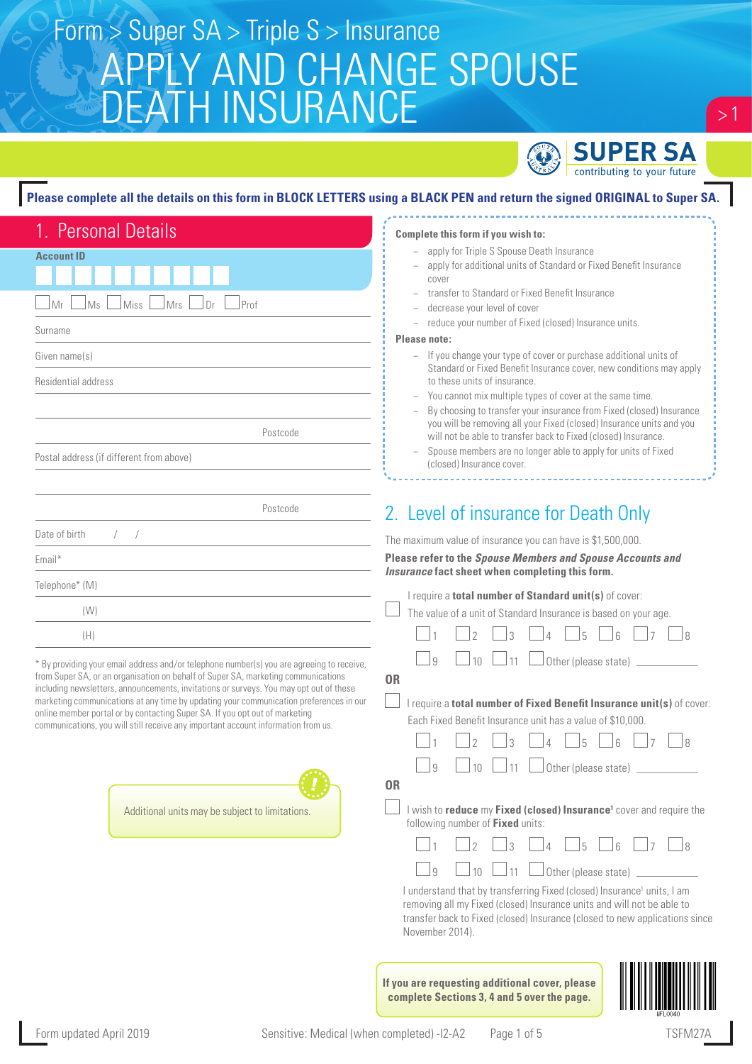### APPLY AND CHANGE SPOUSE DEATH INSURANCE Form > Super SA > Triple S > Insurance



 $> 1$ 

### **Please complete all the details on this form in BLOCK LETTERS using a BLACK PEN and return the signed ORIGINAL to Super SA.**

| 1. Personal Details                                                                                                                                                              | Complete this form if you wish to:                                                                                                                    |
|----------------------------------------------------------------------------------------------------------------------------------------------------------------------------------|-------------------------------------------------------------------------------------------------------------------------------------------------------|
|                                                                                                                                                                                  | apply for Triple S Spouse Death Insurance                                                                                                             |
| <b>Account ID</b>                                                                                                                                                                | apply for additional units of Standard or Fixed Benefit Insurance                                                                                     |
|                                                                                                                                                                                  | cover                                                                                                                                                 |
| Prof<br>Ms<br><b>Miss</b><br><b>Mrs</b><br>Dr                                                                                                                                    | transfer to Standard or Fixed Benefit Insurance<br>decrease your level of cover                                                                       |
|                                                                                                                                                                                  | reduce your number of Fixed (closed) Insurance units.<br>$\qquad \qquad -$                                                                            |
| Surname                                                                                                                                                                          | Please note:                                                                                                                                          |
| Given name(s)                                                                                                                                                                    | - If you change your type of cover or purchase additional units of                                                                                    |
| Residential address                                                                                                                                                              | Standard or Fixed Benefit Insurance cover, new conditions may apply<br>to these units of insurance                                                    |
|                                                                                                                                                                                  | You cannot mix multiple types of cover at the same time.                                                                                              |
|                                                                                                                                                                                  | By choosing to transfer your insurance from Fixed (closed) Insurance<br>you will be removing all your Fixed (closed) Insurance units and you          |
| Postcode                                                                                                                                                                         | will not be able to transfer back to Fixed (closed) Insurance.                                                                                        |
| Postal address (if different from above)                                                                                                                                         | Spouse members are no longer able to apply for units of Fixed<br>(closed) Insurance cover.                                                            |
|                                                                                                                                                                                  |                                                                                                                                                       |
| Postcode                                                                                                                                                                         | 2. Level of insurance for Death Only                                                                                                                  |
| Date of birth<br>$\sqrt{2}$                                                                                                                                                      |                                                                                                                                                       |
|                                                                                                                                                                                  | The maximum value of insurance you can have is \$1,500,000.<br>Please refer to the Spouse Members and Spouse Accounts and                             |
| Email*                                                                                                                                                                           | Insurance fact sheet when completing this form.                                                                                                       |
| Telephone* (M)                                                                                                                                                                   | I require a total number of Standard unit(s) of cover:                                                                                                |
| (W)                                                                                                                                                                              | The value of a unit of Standard Insurance is based on your age.                                                                                       |
| (H)                                                                                                                                                                              |                                                                                                                                                       |
| * By providing your email address and/or telephone number(s) you are agreeing to receive,                                                                                        | Other (please state)<br>$\alpha$<br>11<br>10                                                                                                          |
| from Super SA, or an organisation on behalf of Super SA, marketing communications                                                                                                | <b>OR</b>                                                                                                                                             |
| including newsletters, announcements, invitations or surveys. You may opt out of these<br>marketing communications at any time by updating your communication preferences in our | I require a total number of Fixed Benefit Insurance unit(s) of cover:                                                                                 |
| online member portal or by contacting Super SA. If you opt out of marketing                                                                                                      | Each Fixed Benefit Insurance unit has a value of \$10,000.                                                                                            |
| communications, you will still receive any important account information from us.                                                                                                |                                                                                                                                                       |
|                                                                                                                                                                                  |                                                                                                                                                       |
|                                                                                                                                                                                  | $\alpha$<br>11<br>Other (please state)<br>10                                                                                                          |
|                                                                                                                                                                                  | 0R                                                                                                                                                    |
| Additional units may be subject to limitations.                                                                                                                                  | I wish to reduce my Fixed (closed) Insurance <sup>1</sup> cover and require the                                                                       |
|                                                                                                                                                                                  | following number of Fixed units:                                                                                                                      |
|                                                                                                                                                                                  | $\gamma$<br>$\mathcal{R}$<br>5<br>$\Lambda$<br>$\sqrt{2}$<br>l R                                                                                      |
|                                                                                                                                                                                  | Other (please state)<br>9<br>10<br>11                                                                                                                 |
|                                                                                                                                                                                  | I understand that by transferring Fixed (closed) Insurance <sup>1</sup> units, I am                                                                   |
|                                                                                                                                                                                  | removing all my Fixed (closed) Insurance units and will not be able to<br>transfer back to Fixed (closed) Insurance (closed to new applications since |
|                                                                                                                                                                                  | November 2014).                                                                                                                                       |



**complete Sections 3, 4 and 5 over the page.**

**If you are requesting additional cover, please**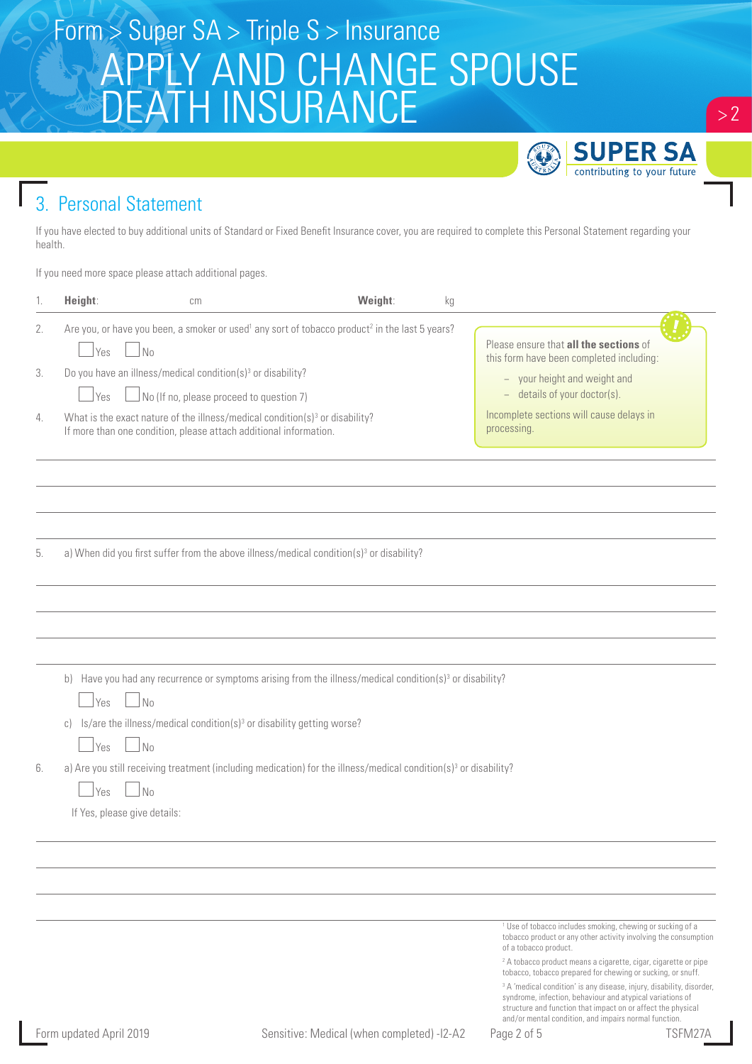## Form > Super SA > Triple S > Insurance APPLY AND CHANGE SPOUSE DEATH INSURANCE



### 3. Personal Statement

If you have elected to buy additional units of Standard or Fixed Benefit Insurance cover, you are required to complete this Personal Statement regarding your health.

If you need more space please attach additional pages.

| 1. | Height:                                                          | cm                                                                                                                                                                                                            | Weight:                                    | kg |                                                                                                                                                                                                                                                                                                                                                                                                                                                                                                                                                                                          |
|----|------------------------------------------------------------------|---------------------------------------------------------------------------------------------------------------------------------------------------------------------------------------------------------------|--------------------------------------------|----|------------------------------------------------------------------------------------------------------------------------------------------------------------------------------------------------------------------------------------------------------------------------------------------------------------------------------------------------------------------------------------------------------------------------------------------------------------------------------------------------------------------------------------------------------------------------------------------|
| 2. | N <sub>0</sub><br>Yes                                            | Are you, or have you been, a smoker or used <sup>1</sup> any sort of tobacco product <sup>2</sup> in the last 5 years?                                                                                        |                                            |    | Please ensure that all the sections of<br>this form have been completed including:                                                                                                                                                                                                                                                                                                                                                                                                                                                                                                       |
| 3. | Yes                                                              | Do you have an illness/medical condition(s) <sup>3</sup> or disability?<br>No (If no, please proceed to question 7)                                                                                           |                                            |    | - your height and weight and<br>- details of your doctor(s).                                                                                                                                                                                                                                                                                                                                                                                                                                                                                                                             |
| 4. |                                                                  | What is the exact nature of the illness/medical condition(s) <sup>3</sup> or disability?<br>If more than one condition, please attach additional information.                                                 |                                            |    | Incomplete sections will cause delays in<br>processing.                                                                                                                                                                                                                                                                                                                                                                                                                                                                                                                                  |
|    |                                                                  |                                                                                                                                                                                                               |                                            |    |                                                                                                                                                                                                                                                                                                                                                                                                                                                                                                                                                                                          |
| 5. |                                                                  | a) When did you first suffer from the above illness/medical condition(s) <sup>3</sup> or disability?                                                                                                          |                                            |    |                                                                                                                                                                                                                                                                                                                                                                                                                                                                                                                                                                                          |
|    |                                                                  |                                                                                                                                                                                                               |                                            |    |                                                                                                                                                                                                                                                                                                                                                                                                                                                                                                                                                                                          |
|    | $\Box$ No<br>$\Box$ Yes<br>$\mathbb{C}$ )<br>$\Box$ No<br>  Yes  | b) Have you had any recurrence or symptoms arising from the illness/medical condition( $s$ ) <sup>3</sup> or disability?<br>Is/are the illness/medical condition(s) <sup>3</sup> or disability getting worse? |                                            |    |                                                                                                                                                                                                                                                                                                                                                                                                                                                                                                                                                                                          |
| 6. | $\overline{\mathsf{N}}$ 0<br>Yes<br>If Yes, please give details: | a) Are you still receiving treatment (including medication) for the illness/medical condition(s) <sup>3</sup> or disability?                                                                                  |                                            |    |                                                                                                                                                                                                                                                                                                                                                                                                                                                                                                                                                                                          |
|    |                                                                  |                                                                                                                                                                                                               |                                            |    |                                                                                                                                                                                                                                                                                                                                                                                                                                                                                                                                                                                          |
|    |                                                                  |                                                                                                                                                                                                               |                                            |    |                                                                                                                                                                                                                                                                                                                                                                                                                                                                                                                                                                                          |
|    |                                                                  |                                                                                                                                                                                                               |                                            |    | <sup>1</sup> Use of tobacco includes smoking, chewing or sucking of a<br>tobacco product or any other activity involving the consumption<br>of a tobacco product.<br><sup>2</sup> A tobacco product means a cigarette, cigar, cigarette or pipe<br>tobacco, tobacco prepared for chewing or sucking, or snuff.<br><sup>3</sup> A 'medical condition' is any disease, injury, disability, disorder,<br>syndrome, infection, behaviour and atypical variations of<br>structure and function that impact on or affect the physical<br>and/or mental condition, and impairs normal function. |
|    | Form updated April 2019                                          |                                                                                                                                                                                                               | Sensitive: Medical (when completed) -I2-A2 |    | TSFM27A<br>Page 2 of 5                                                                                                                                                                                                                                                                                                                                                                                                                                                                                                                                                                   |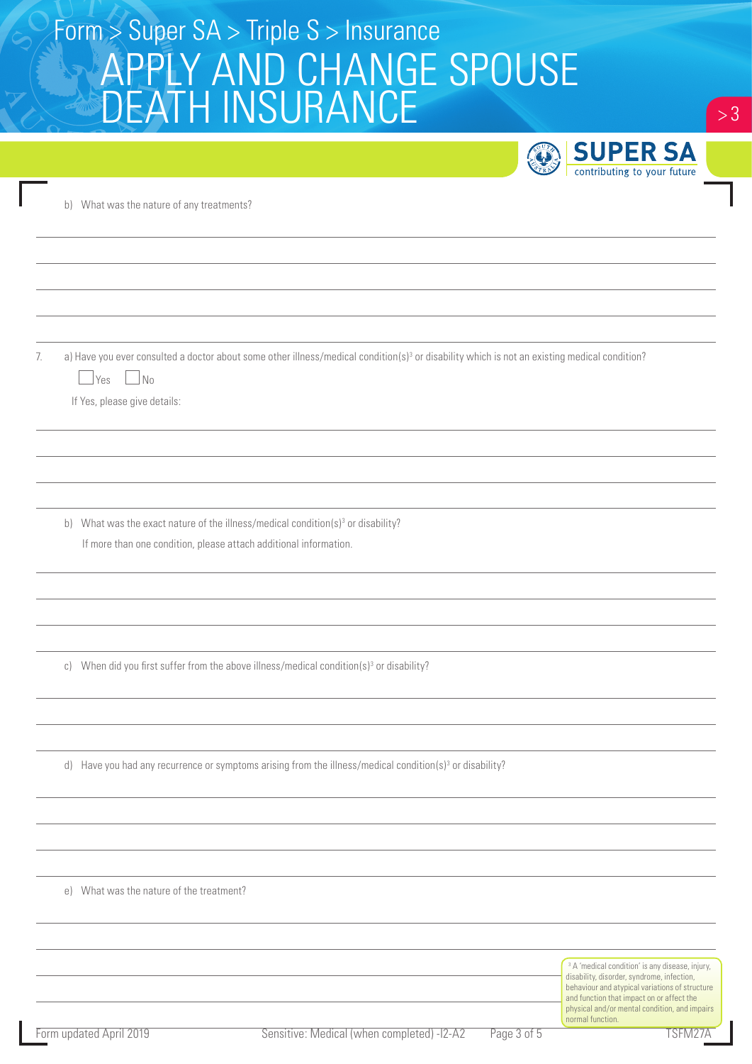# Form > Super SA > Triple S > Insurance APPLY AND CHANGE SPOUSE DEATH INSURANCE

|    |                                                                                                                                                                                                                       | <b>SUPER SA</b><br>Ü<br>contributing to your future                                                                                                        |
|----|-----------------------------------------------------------------------------------------------------------------------------------------------------------------------------------------------------------------------|------------------------------------------------------------------------------------------------------------------------------------------------------------|
|    | b) What was the nature of any treatments?                                                                                                                                                                             |                                                                                                                                                            |
|    |                                                                                                                                                                                                                       |                                                                                                                                                            |
|    |                                                                                                                                                                                                                       |                                                                                                                                                            |
| 7. | a) Have you ever consulted a doctor about some other illness/medical condition(s) <sup>3</sup> or disability which is not an existing medical condition?<br>$\Box$ No<br><u>S</u> Yes<br>If Yes, please give details: |                                                                                                                                                            |
|    |                                                                                                                                                                                                                       |                                                                                                                                                            |
|    | b) What was the exact nature of the illness/medical condition(s) <sup>3</sup> or disability?                                                                                                                          |                                                                                                                                                            |
|    | If more than one condition, please attach additional information.                                                                                                                                                     |                                                                                                                                                            |
|    |                                                                                                                                                                                                                       |                                                                                                                                                            |
|    | c) When did you first suffer from the above illness/medical condition(s) <sup>3</sup> or disability?                                                                                                                  |                                                                                                                                                            |
|    |                                                                                                                                                                                                                       |                                                                                                                                                            |
|    | d) Have you had any recurrence or symptoms arising from the illness/medical condition(s) <sup>3</sup> or disability?                                                                                                  |                                                                                                                                                            |
|    |                                                                                                                                                                                                                       |                                                                                                                                                            |
|    | e) What was the nature of the treatment?                                                                                                                                                                              |                                                                                                                                                            |
|    |                                                                                                                                                                                                                       |                                                                                                                                                            |
|    |                                                                                                                                                                                                                       | <sup>3</sup> A 'medical condition' is any disease, injury,<br>disability, disorder, syndrome, infection,<br>behaviour and atypical variations of structure |

and function that impact on or affect the physical and/or mental condition, and impairs

normal function.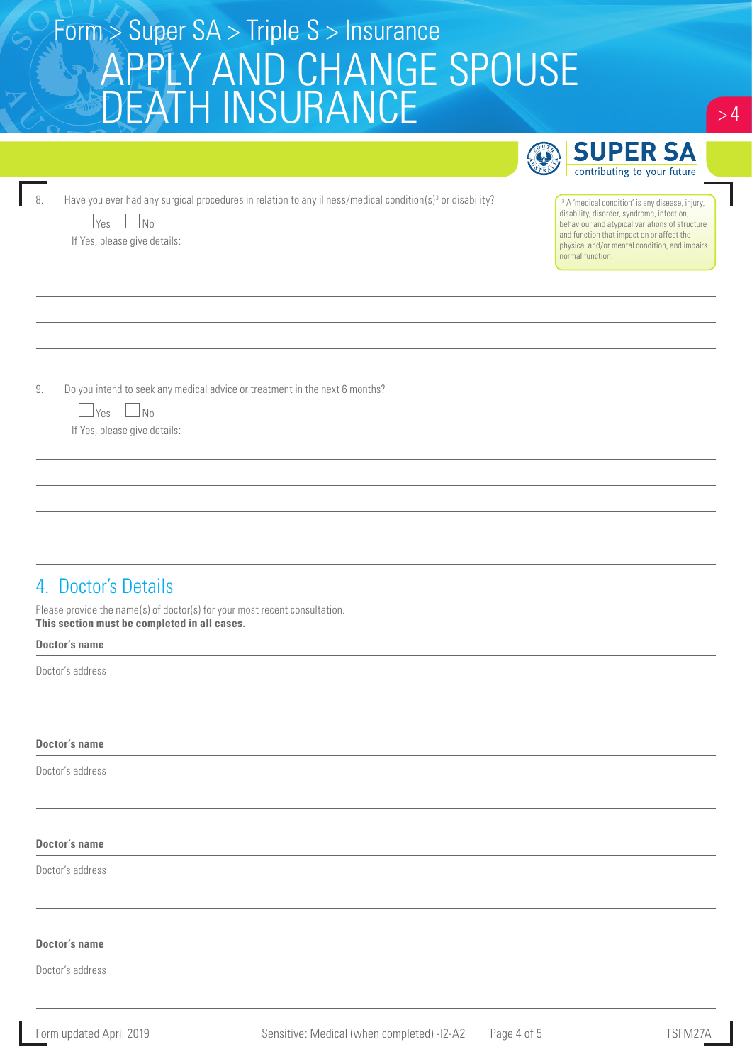| Form $>$ Super SA $>$ Triple S $>$ Insurance |  |
|----------------------------------------------|--|
| APPLY AND CHANGE SPOUSE                      |  |
| DEATH INSURANCE!                             |  |
| <b>CON SUPER SA</b>                          |  |

|                                                                                                                                                                                           | <b>SUPER SA</b>                                                                                                                                                                                                                                                              |
|-------------------------------------------------------------------------------------------------------------------------------------------------------------------------------------------|------------------------------------------------------------------------------------------------------------------------------------------------------------------------------------------------------------------------------------------------------------------------------|
|                                                                                                                                                                                           | contributing to your future                                                                                                                                                                                                                                                  |
| Have you ever had any surgical procedures in relation to any illness/medical condition(s) <sup>3</sup> or disability?<br>8.<br>$\blacksquare$ No<br>  Yes<br>If Yes, please give details: | <sup>3</sup> A 'medical condition' is any disease, injury,<br>disability, disorder, syndrome, infection,<br>behaviour and atypical variations of structure<br>and function that impact on or affect the<br>physical and/or mental condition, and impairs<br>normal function. |
|                                                                                                                                                                                           |                                                                                                                                                                                                                                                                              |
|                                                                                                                                                                                           |                                                                                                                                                                                                                                                                              |
|                                                                                                                                                                                           |                                                                                                                                                                                                                                                                              |
|                                                                                                                                                                                           |                                                                                                                                                                                                                                                                              |
| Do you intend to seek any medical advice or treatment in the next 6 months?<br>9.                                                                                                         |                                                                                                                                                                                                                                                                              |
| Yes □No<br>If Yes, please give details:                                                                                                                                                   |                                                                                                                                                                                                                                                                              |
|                                                                                                                                                                                           |                                                                                                                                                                                                                                                                              |
|                                                                                                                                                                                           |                                                                                                                                                                                                                                                                              |
|                                                                                                                                                                                           |                                                                                                                                                                                                                                                                              |
|                                                                                                                                                                                           |                                                                                                                                                                                                                                                                              |
| 4. Doctor's Details                                                                                                                                                                       |                                                                                                                                                                                                                                                                              |
|                                                                                                                                                                                           |                                                                                                                                                                                                                                                                              |
| Please provide the name(s) of doctor(s) for your most recent consultation.<br>This section must be completed in all cases.<br><b>Doctor's name</b>                                        |                                                                                                                                                                                                                                                                              |

#### **Doctor's name**

Doctor's address

#### **Doctor's name**

Doctor's address

#### **Doctor's name**

Doctor's address